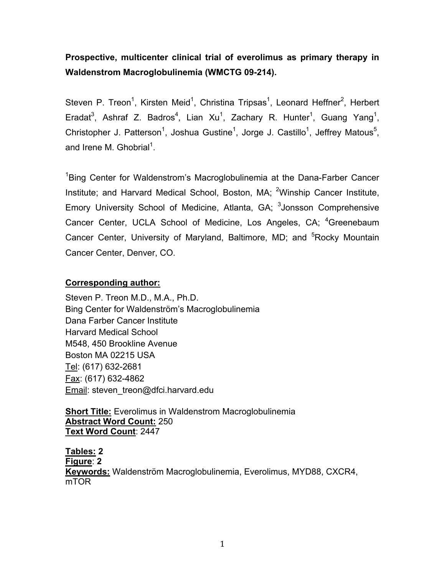# **Prospective, multicenter clinical trial of everolimus as primary therapy in Waldenstrom Macroglobulinemia (WMCTG 09-214).**

Steven P. Treon<sup>1</sup>, Kirsten Meid<sup>1</sup>, Christina Tripsas<sup>1</sup>, Leonard Heffner<sup>2</sup>, Herbert Eradat<sup>3</sup>, Ashraf Z. Badros<sup>4</sup>, Lian Xu<sup>1</sup>, Zachary R. Hunter<sup>1</sup>, Guang Yang<sup>1</sup>, Christopher J. Patterson<sup>1</sup>, Joshua Gustine<sup>1</sup>, Jorge J. Castillo<sup>1</sup>, Jeffrey Matous<sup>5</sup>, and Irene M. Ghobrial $^1$ .

<sup>1</sup>Bing Center for Waldenstrom's Macroglobulinemia at the Dana-Farber Cancer Institute; and Harvard Medical School, Boston, MA; <sup>2</sup>Winship Cancer Institute, Emory University School of Medicine, Atlanta, GA; <sup>3</sup>Jonsson Comprehensive Cancer Center, UCLA School of Medicine, Los Angeles, CA; <sup>4</sup>Greenebaum Cancer Center, University of Maryland, Baltimore, MD; and <sup>5</sup>Rocky Mountain Cancer Center, Denver, CO.

## **Corresponding author:**

Steven P. Treon M.D., M.A., Ph.D. Bing Center for Waldenström's Macroglobulinemia Dana Farber Cancer Institute Harvard Medical School M548, 450 Brookline Avenue Boston MA 02215 USA Tel: (617) 632-2681 Fax: (617) 632-4862 Email: steven\_treon@dfci.harvard.edu

**Short Title:** Everolimus in Waldenstrom Macroglobulinemia **Abstract Word Count:** 250 **Text Word Count**: 2447

**Tables: 2 Figure**: **2 Keywords:** Waldenström Macroglobulinemia, Everolimus, MYD88, CXCR4, mTOR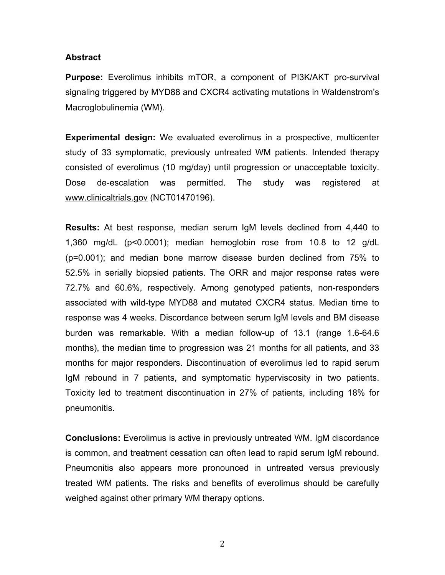## **Abstract**

**Purpose:** Everolimus inhibits mTOR, a component of PI3K/AKT pro-survival signaling triggered by MYD88 and CXCR4 activating mutations in Waldenstrom's Macroglobulinemia (WM).

**Experimental design:** We evaluated everolimus in a prospective, multicenter study of 33 symptomatic, previously untreated WM patients. Intended therapy consisted of everolimus (10 mg/day) until progression or unacceptable toxicity. Dose de-escalation was permitted. The study was registered at www.clinicaltrials.gov (NCT01470196).

**Results:** At best response, median serum IgM levels declined from 4,440 to 1,360 mg/dL (p<0.0001); median hemoglobin rose from 10.8 to 12 g/dL (p=0.001); and median bone marrow disease burden declined from 75% to 52.5% in serially biopsied patients. The ORR and major response rates were 72.7% and 60.6%, respectively. Among genotyped patients, non-responders associated with wild-type MYD88 and mutated CXCR4 status. Median time to response was 4 weeks. Discordance between serum IgM levels and BM disease burden was remarkable. With a median follow-up of 13.1 (range 1.6-64.6 months), the median time to progression was 21 months for all patients, and 33 months for major responders. Discontinuation of everolimus led to rapid serum IgM rebound in 7 patients, and symptomatic hyperviscosity in two patients. Toxicity led to treatment discontinuation in 27% of patients, including 18% for pneumonitis.

**Conclusions:** Everolimus is active in previously untreated WM. IgM discordance is common, and treatment cessation can often lead to rapid serum IgM rebound. Pneumonitis also appears more pronounced in untreated versus previously treated WM patients. The risks and benefits of everolimus should be carefully weighed against other primary WM therapy options.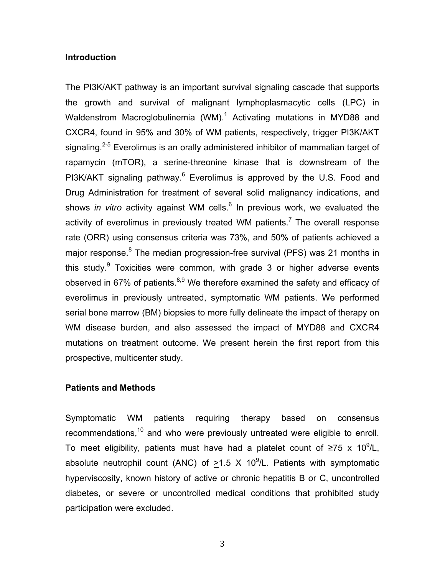#### **Introduction**

The PI3K/AKT pathway is an important survival signaling cascade that supports the growth and survival of malignant lymphoplasmacytic cells (LPC) in Waldenstrom Macroglobulinemia (WM). $^1$  Activating mutations in MYD88 and CXCR4, found in 95% and 30% of WM patients, respectively, trigger PI3K/AKT signaling.<sup>2-5</sup> Everolimus is an orally administered inhibitor of mammalian target of rapamycin (mTOR), a serine-threonine kinase that is downstream of the PI3K/AKT signaling pathway.<sup>6</sup> Everolimus is approved by the U.S. Food and Drug Administration for treatment of several solid malignancy indications, and shows *in vitro* activity against WM cells.<sup>6</sup> In previous work, we evaluated the activity of everolimus in previously treated WM patients.<sup>7</sup> The overall response rate (ORR) using consensus criteria was 73%, and 50% of patients achieved a major response.<sup>8</sup> The median progression-free survival (PFS) was 21 months in this study. $^9$  Toxicities were common, with grade 3 or higher adverse events observed in 67% of patients. $8,9$  We therefore examined the safety and efficacy of everolimus in previously untreated, symptomatic WM patients. We performed serial bone marrow (BM) biopsies to more fully delineate the impact of therapy on WM disease burden, and also assessed the impact of MYD88 and CXCR4 mutations on treatment outcome. We present herein the first report from this prospective, multicenter study.

#### **Patients and Methods**

Symptomatic WM patients requiring therapy based on consensus recommendations,<sup>10</sup> and who were previously untreated were eligible to enroll. To meet eligibility, patients must have had a platelet count of ≥75 x 10<sup>9</sup>/L, absolute neutrophil count (ANC) of  $\geq 1.5$  X 10<sup>9</sup>/L. Patients with symptomatic hyperviscosity, known history of active or chronic hepatitis B or C, uncontrolled diabetes, or severe or uncontrolled medical conditions that prohibited study participation were excluded.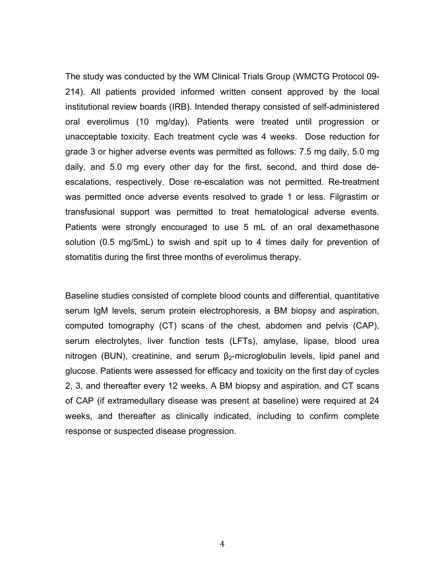The study was conducted by the WM Clinical Trials Group (WMCTG Protocol 09- 214). All patients provided informed written consent approved by the local institutional review boards (IRB). Intended therapy consisted of self-administered oral everolimus (10 mg/day). Patients were treated until progression or unacceptable toxicity. Each treatment cycle was 4 weeks. Dose reduction for grade 3 or higher adverse events was permitted as follows: 7.5 mg daily, 5.0 mg daily, and 5.0 mg every other day for the first, second, and third dose deescalations, respectively. Dose re-escalation was not permitted. Re-treatment was permitted once adverse events resolved to grade 1 or less. Filgrastim or transfusional support was permitted to treat hematological adverse events. Patients were strongly encouraged to use 5 mL of an oral dexamethasone solution (0.5 mg/5mL) to swish and spit up to 4 times daily for prevention of stomatitis during the first three months of everolimus therapy.

Baseline studies consisted of complete blood counts and differential, quantitative serum IgM levels, serum protein electrophoresis, a BM biopsy and aspiration, computed tomography (CT) scans of the chest, abdomen and pelvis (CAP), serum electrolytes, liver function tests (LFTs), amylase, lipase, blood urea nitrogen (BUN), creatinine, and serum  $\beta$ -microglobulin levels, lipid panel and glucose. Patients were assessed for efficacy and toxicity on the first day of cycles 2, 3, and thereafter every 12 weeks. A BM biopsy and aspiration, and CT scans of CAP (if extramedullary disease was present at baseline) were required at 24 weeks, and thereafter as clinically indicated, including to confirm complete response or suspected disease progression.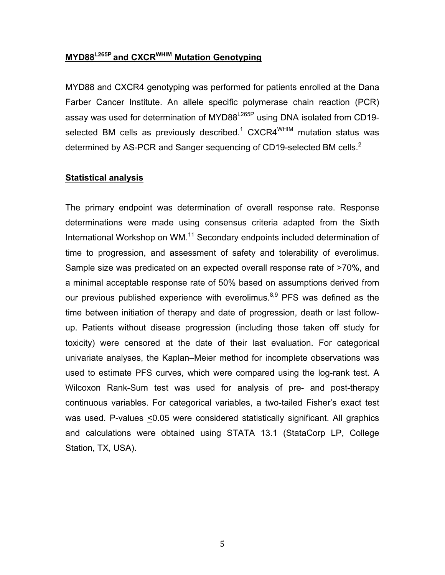## **MYD88L265P and CXCRWHIM Mutation Genotyping**

MYD88 and CXCR4 genotyping was performed for patients enrolled at the Dana Farber Cancer Institute. An allele specific polymerase chain reaction (PCR) assay was used for determination of MYD88<sup>L265P</sup> using DNA isolated from CD19selected BM cells as previously described. $^\text{1}$  CXCR4 $^\text{WHIM}$  mutation status was determined by AS-PCR and Sanger sequencing of CD19-selected BM cells.<sup>2</sup>

## **Statistical analysis**

The primary endpoint was determination of overall response rate. Response determinations were made using consensus criteria adapted from the Sixth International Workshop on WM.<sup>11</sup> Secondary endpoints included determination of time to progression, and assessment of safety and tolerability of everolimus. Sample size was predicated on an expected overall response rate of >70%, and a minimal acceptable response rate of 50% based on assumptions derived from our previous published experience with everolimus.<sup>8,9</sup> PFS was defined as the time between initiation of therapy and date of progression, death or last followup. Patients without disease progression (including those taken off study for toxicity) were censored at the date of their last evaluation. For categorical univariate analyses, the Kaplan–Meier method for incomplete observations was used to estimate PFS curves, which were compared using the log-rank test. A Wilcoxon Rank-Sum test was used for analysis of pre- and post-therapy continuous variables. For categorical variables, a two-tailed Fisher's exact test was used. P-values  $\leq 0.05$  were considered statistically significant. All graphics and calculations were obtained using STATA 13.1 (StataCorp LP, College Station, TX, USA).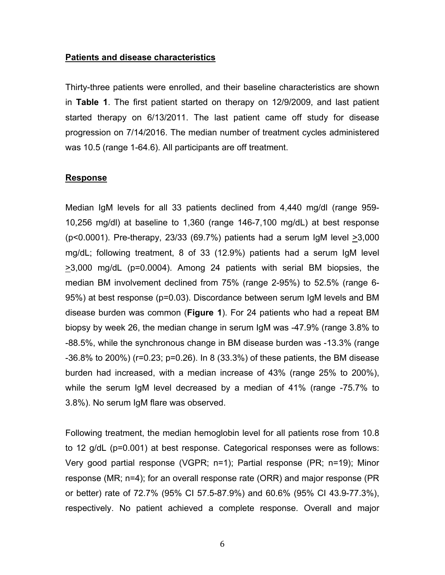#### **Patients and disease characteristics**

Thirty-three patients were enrolled, and their baseline characteristics are shown in **Table 1**. The first patient started on therapy on 12/9/2009, and last patient started therapy on 6/13/2011. The last patient came off study for disease progression on 7/14/2016. The median number of treatment cycles administered was 10.5 (range 1-64.6). All participants are off treatment.

#### **Response**

Median IgM levels for all 33 patients declined from 4,440 mg/dl (range 959- 10,256 mg/dl) at baseline to 1,360 (range 146-7,100 mg/dL) at best response ( $p$ <0.0001). Pre-therapy, 23/33 (69.7%) patients had a serum IgM level  $\geq$ 3,000 mg/dL; following treatment, 8 of 33 (12.9%) patients had a serum IgM level >3,000 mg/dL (p=0.0004). Among 24 patients with serial BM biopsies, the median BM involvement declined from 75% (range 2-95%) to 52.5% (range 6- 95%) at best response (p=0.03). Discordance between serum IgM levels and BM disease burden was common (**Figure 1**). For 24 patients who had a repeat BM biopsy by week 26, the median change in serum IgM was -47.9% (range 3.8% to -88.5%, while the synchronous change in BM disease burden was -13.3% (range -36.8% to 200%) (r=0.23; p=0.26). In 8 (33.3%) of these patients, the BM disease burden had increased, with a median increase of 43% (range 25% to 200%), while the serum IgM level decreased by a median of 41% (range -75.7% to 3.8%). No serum IgM flare was observed.

Following treatment, the median hemoglobin level for all patients rose from 10.8 to 12 g/dL (p=0.001) at best response. Categorical responses were as follows: Very good partial response (VGPR; n=1); Partial response (PR; n=19); Minor response (MR; n=4); for an overall response rate (ORR) and major response (PR or better) rate of 72.7% (95% CI 57.5-87.9%) and 60.6% (95% CI 43.9-77.3%), respectively. No patient achieved a complete response. Overall and major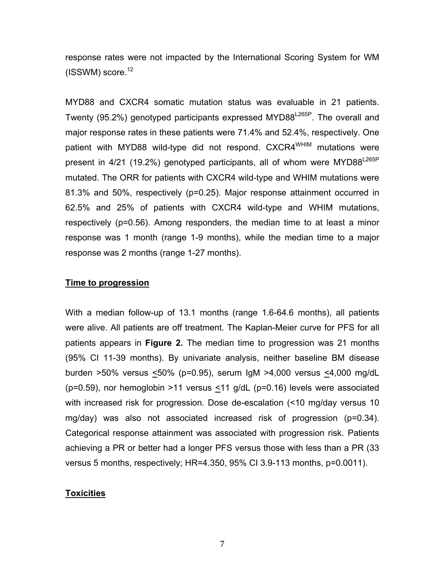response rates were not impacted by the International Scoring System for WM  $(ISSWM)$  score.<sup>12</sup>

MYD88 and CXCR4 somatic mutation status was evaluable in 21 patients. Twenty (95.2%) genotyped participants expressed MYD88<sup>L265P</sup>. The overall and major response rates in these patients were 71.4% and 52.4%, respectively. One patient with MYD88 wild-type did not respond. CXCR4<sup>WHIM</sup> mutations were present in  $4/21$  (19.2%) genotyped participants, all of whom were MYD88<sup>L265P</sup> mutated. The ORR for patients with CXCR4 wild-type and WHIM mutations were 81.3% and 50%, respectively (p=0.25). Major response attainment occurred in 62.5% and 25% of patients with CXCR4 wild-type and WHIM mutations, respectively (p=0.56). Among responders, the median time to at least a minor response was 1 month (range 1-9 months), while the median time to a major response was 2 months (range 1-27 months).

#### **Time to progression**

With a median follow-up of 13.1 months (range 1.6-64.6 months), all patients were alive. All patients are off treatment. The Kaplan-Meier curve for PFS for all patients appears in **Figure 2.** The median time to progression was 21 months (95% CI 11-39 months). By univariate analysis, neither baseline BM disease burden >50% versus <50% (p=0.95), serum IgM >4,000 versus <4,000 mg/dL (p=0.59), nor hemoglobin >11 versus <11 g/dL (p=0.16) levels were associated with increased risk for progression. Dose de-escalation (<10 mg/day versus 10 mg/day) was also not associated increased risk of progression (p=0.34). Categorical response attainment was associated with progression risk. Patients achieving a PR or better had a longer PFS versus those with less than a PR (33 versus 5 months, respectively; HR=4.350, 95% CI 3.9-113 months, p=0.0011).

#### **Toxicities**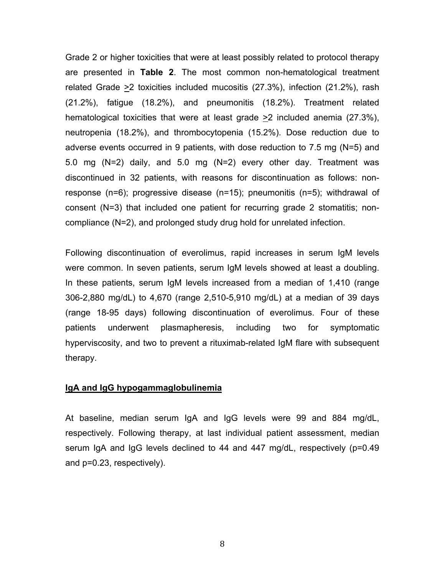Grade 2 or higher toxicities that were at least possibly related to protocol therapy are presented in **Table 2**. The most common non-hematological treatment related Grade  $\geq$  toxicities included mucositis (27.3%), infection (21.2%), rash (21.2%), fatigue (18.2%), and pneumonitis (18.2%). Treatment related hematological toxicities that were at least grade >2 included anemia (27.3%), neutropenia (18.2%), and thrombocytopenia (15.2%). Dose reduction due to adverse events occurred in 9 patients, with dose reduction to 7.5 mg (N=5) and 5.0 mg (N=2) daily, and 5.0 mg (N=2) every other day. Treatment was discontinued in 32 patients, with reasons for discontinuation as follows: nonresponse (n=6); progressive disease (n=15); pneumonitis (n=5); withdrawal of consent (N=3) that included one patient for recurring grade 2 stomatitis; noncompliance (N=2), and prolonged study drug hold for unrelated infection.

Following discontinuation of everolimus, rapid increases in serum IgM levels were common. In seven patients, serum IgM levels showed at least a doubling. In these patients, serum IgM levels increased from a median of 1,410 (range 306-2,880 mg/dL) to 4,670 (range 2,510-5,910 mg/dL) at a median of 39 days (range 18-95 days) following discontinuation of everolimus. Four of these patients underwent plasmapheresis, including two for symptomatic hyperviscosity, and two to prevent a rituximab-related IgM flare with subsequent therapy.

## **IgA and IgG hypogammaglobulinemia**

At baseline, median serum IgA and IgG levels were 99 and 884 mg/dL, respectively. Following therapy, at last individual patient assessment, median serum IgA and IgG levels declined to 44 and 447 mg/dL, respectively (p=0.49 and p=0.23, respectively).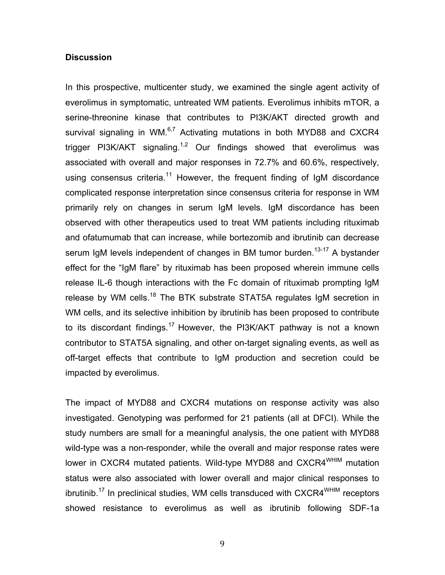## **Discussion**

In this prospective, multicenter study, we examined the single agent activity of everolimus in symptomatic, untreated WM patients. Everolimus inhibits mTOR, a serine-threonine kinase that contributes to PI3K/AKT directed growth and survival signaling in WM. $^{6,7}$  Activating mutations in both MYD88 and CXCR4 trigger PI3K/AKT signaling.<sup>1,2</sup> Our findings showed that everolimus was associated with overall and major responses in 72.7% and 60.6%, respectively, using consensus criteria.<sup>11</sup> However, the frequent finding of IgM discordance complicated response interpretation since consensus criteria for response in WM primarily rely on changes in serum IgM levels. IgM discordance has been observed with other therapeutics used to treat WM patients including rituximab and ofatumumab that can increase, while bortezomib and ibrutinib can decrease serum IgM levels independent of changes in BM tumor burden.<sup>13-17</sup> A bystander effect for the "IgM flare" by rituximab has been proposed wherein immune cells release IL-6 though interactions with the Fc domain of rituximab prompting IgM release by WM cells.<sup>18</sup> The BTK substrate STAT5A regulates IgM secretion in WM cells, and its selective inhibition by ibrutinib has been proposed to contribute to its discordant findings.<sup>17</sup> However, the PI3K/AKT pathway is not a known contributor to STAT5A signaling, and other on-target signaling events, as well as off-target effects that contribute to IgM production and secretion could be impacted by everolimus.

The impact of MYD88 and CXCR4 mutations on response activity was also investigated. Genotyping was performed for 21 patients (all at DFCI). While the study numbers are small for a meaningful analysis, the one patient with MYD88 wild-type was a non-responder, while the overall and major response rates were lower in CXCR4 mutated patients. Wild-type MYD88 and CXCR4<sup>WHIM</sup> mutation status were also associated with lower overall and major clinical responses to ibrutinib.<sup>17</sup> In preclinical studies, WM cells transduced with CXCR4<sup>WHIM</sup> receptors showed resistance to everolimus as well as ibrutinib following SDF-1a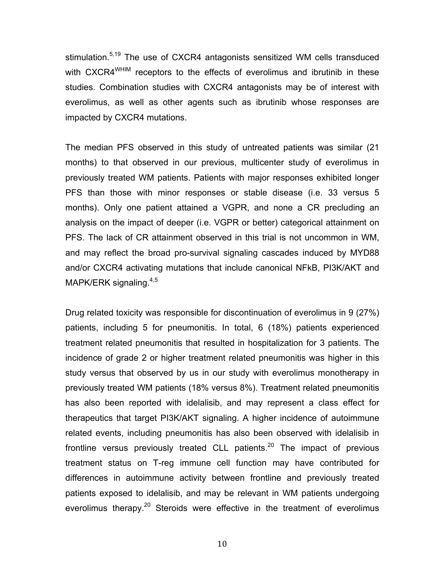stimulation.<sup>5,19</sup> The use of CXCR4 antagonists sensitized WM cells transduced with CXCR4<sup>WHIM</sup> receptors to the effects of everolimus and ibrutinib in these studies. Combination studies with CXCR4 antagonists may be of interest with everolimus, as well as other agents such as ibrutinib whose responses are impacted by CXCR4 mutations.

The median PFS observed in this study of untreated patients was similar (21 months) to that observed in our previous, multicenter study of everolimus in previously treated WM patients. Patients with major responses exhibited longer PFS than those with minor responses or stable disease (i.e. 33 versus 5 months). Only one patient attained a VGPR, and none a CR precluding an analysis on the impact of deeper (i.e. VGPR or better) categorical attainment on PFS. The lack of CR attainment observed in this trial is not uncommon in WM, and may reflect the broad pro-survival signaling cascades induced by MYD88 and/or CXCR4 activating mutations that include canonical NFkB, PI3K/AKT and MAPK/ERK signaling. $4,5$ 

Drug related toxicity was responsible for discontinuation of everolimus in 9 (27%) patients, including 5 for pneumonitis. In total, 6 (18%) patients experienced treatment related pneumonitis that resulted in hospitalization for 3 patients. The incidence of grade 2 or higher treatment related pneumonitis was higher in this study versus that observed by us in our study with everolimus monotherapy in previously treated WM patients (18% versus 8%). Treatment related pneumonitis has also been reported with idelalisib, and may represent a class effect for therapeutics that target PI3K/AKT signaling. A higher incidence of autoimmune related events, including pneumonitis has also been observed with idelalisib in frontline versus previously treated CLL patients.<sup>20</sup> The impact of previous treatment status on T-reg immune cell function may have contributed for differences in autoimmune activity between frontline and previously treated patients exposed to idelalisib, and may be relevant in WM patients undergoing everolimus therapy.<sup>20</sup> Steroids were effective in the treatment of everolimus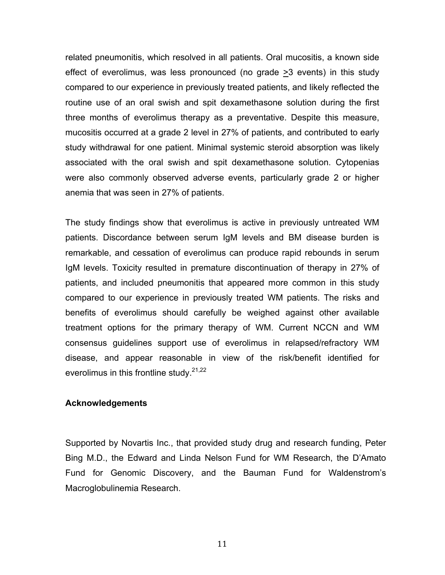related pneumonitis, which resolved in all patients. Oral mucositis, a known side effect of everolimus, was less pronounced (no grade >3 events) in this study compared to our experience in previously treated patients, and likely reflected the routine use of an oral swish and spit dexamethasone solution during the first three months of everolimus therapy as a preventative. Despite this measure, mucositis occurred at a grade 2 level in 27% of patients, and contributed to early study withdrawal for one patient. Minimal systemic steroid absorption was likely associated with the oral swish and spit dexamethasone solution. Cytopenias were also commonly observed adverse events, particularly grade 2 or higher anemia that was seen in 27% of patients.

The study findings show that everolimus is active in previously untreated WM patients. Discordance between serum IgM levels and BM disease burden is remarkable, and cessation of everolimus can produce rapid rebounds in serum IgM levels. Toxicity resulted in premature discontinuation of therapy in 27% of patients, and included pneumonitis that appeared more common in this study compared to our experience in previously treated WM patients. The risks and benefits of everolimus should carefully be weighed against other available treatment options for the primary therapy of WM. Current NCCN and WM consensus guidelines support use of everolimus in relapsed/refractory WM disease, and appear reasonable in view of the risk/benefit identified for everolimus in this frontline study.  $21,22$ 

## **Acknowledgements**

Supported by Novartis Inc., that provided study drug and research funding, Peter Bing M.D., the Edward and Linda Nelson Fund for WM Research, the D'Amato Fund for Genomic Discovery, and the Bauman Fund for Waldenstrom's Macroglobulinemia Research.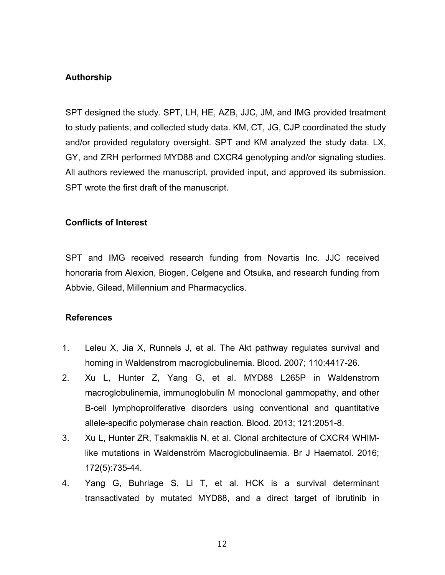## **Authorship**

SPT designed the study. SPT, LH, HE, AZB, JJC, JM, and IMG provided treatment to study patients, and collected study data. KM, CT, JG, CJP coordinated the study and/or provided regulatory oversight. SPT and KM analyzed the study data. LX, GY, and ZRH performed MYD88 and CXCR4 genotyping and/or signaling studies. All authors reviewed the manuscript, provided input, and approved its submission. SPT wrote the first draft of the manuscript.

## **Conflicts of Interest**

SPT and IMG received research funding from Novartis Inc. JJC received honoraria from Alexion, Biogen, Celgene and Otsuka, and research funding from Abbvie, Gilead, Millennium and Pharmacyclics.

## **References**

- 1. Leleu X, Jia X, Runnels J, et al. The Akt pathway regulates survival and homing in Waldenstrom macroglobulinemia. Blood. 2007; 110:4417-26.
- 2. Xu L, Hunter Z, Yang G, et al. MYD88 L265P in Waldenstrom macroglobulinemia, immunoglobulin M monoclonal gammopathy, and other B-cell lymphoproliferative disorders using conventional and quantitative allele-specific polymerase chain reaction. Blood. 2013; 121:2051-8.
- 3. Xu L, Hunter ZR, Tsakmaklis N, et al. Clonal architecture of CXCR4 WHIMlike mutations in Waldenström Macroglobulinaemia. Br J Haematol. 2016; 172(5):735-44.
- 4. Yang G, Buhrlage S, Li T, et al. HCK is a survival determinant transactivated by mutated MYD88, and a direct target of ibrutinib in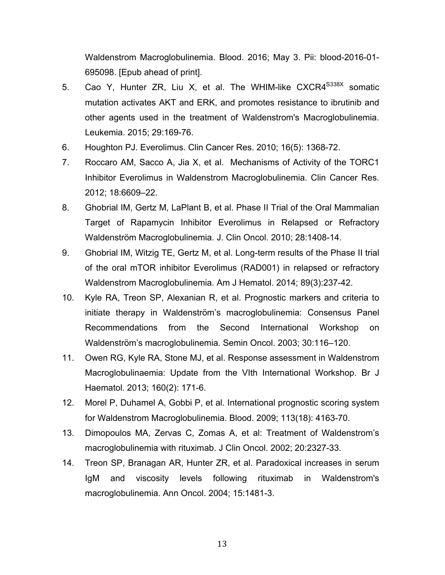Waldenstrom Macroglobulinemia. Blood. 2016; May 3. Pii: blood-2016-01- 695098. [Epub ahead of print].

- 5. Cao Y, Hunter ZR, Liu X, et al. The WHIM-like CXCR4<sup>S338X</sup> somatic mutation activates AKT and ERK, and promotes resistance to ibrutinib and other agents used in the treatment of Waldenstrom's Macroglobulinemia. Leukemia. 2015; 29:169-76.
- 6. Houghton PJ. Everolimus. Clin Cancer Res. 2010; 16(5): 1368-72.
- 7. Roccaro AM, Sacco A, Jia X, et al. Mechanisms of Activity of the TORC1 Inhibitor Everolimus in Waldenstrom Macroglobulinemia. Clin Cancer Res. 2012; 18:6609–22.
- 8. Ghobrial IM, Gertz M, LaPlant B, et al. Phase II Trial of the Oral Mammalian Target of Rapamycin Inhibitor Everolimus in Relapsed or Refractory Waldenström Macroglobulinemia. J. Clin Oncol. 2010; 28:1408-14.
- 9. Ghobrial IM, Witzig TE, Gertz M, et al. Long-term results of the Phase II trial of the oral mTOR inhibitor Everolimus (RAD001) in relapsed or refractory Waldenstrom Macroglobulinemia. Am J Hematol. 2014; 89(3):237-42.
- 10. Kyle RA, Treon SP, Alexanian R, et al. Prognostic markers and criteria to initiate therapy in Waldenström's macroglobulinemia: Consensus Panel Recommendations from the Second International Workshop on Waldenström's macroglobulinemia. Semin Oncol. 2003; 30:116–120.
- 11. Owen RG, Kyle RA, Stone MJ, et al. Response assessment in Waldenstrom Macroglobulinaemia: Update from the VIth International Workshop. Br J Haematol. 2013; 160(2): 171-6.
- 12. Morel P, Duhamel A, Gobbi P, et al. International prognostic scoring system for Waldenstrom Macroglobulinemia. Blood. 2009; 113(18): 4163-70.
- 13. Dimopoulos MA, Zervas C, Zomas A, et al: Treatment of Waldenstrom's macroglobulinemia with rituximab. J Clin Oncol. 2002; 20:2327-33.
- 14. Treon SP, Branagan AR, Hunter ZR, et al. Paradoxical increases in serum IgM and viscosity levels following rituximab in Waldenstrom's macroglobulinemia. Ann Oncol. 2004; 15:1481-3.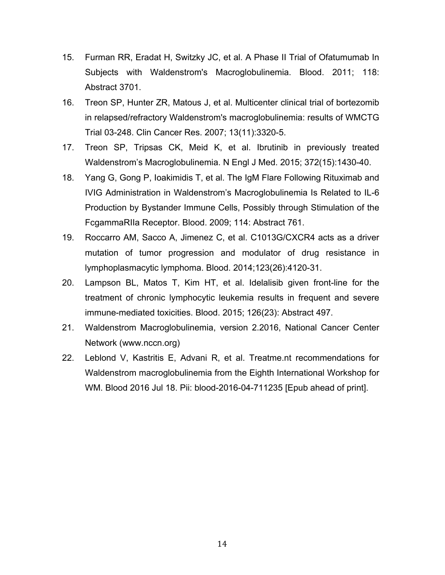- 15. Furman RR, Eradat H, Switzky JC, et al. A Phase II Trial of Ofatumumab In Subjects with Waldenstrom's Macroglobulinemia. Blood. 2011; 118: Abstract 3701.
- 16. Treon SP, Hunter ZR, Matous J, et al. Multicenter clinical trial of bortezomib in relapsed/refractory Waldenstrom's macroglobulinemia: results of WMCTG Trial 03-248. Clin Cancer Res. 2007; 13(11):3320-5.
- 17. Treon SP, Tripsas CK, Meid K, et al. Ibrutinib in previously treated Waldenstrom's Macroglobulinemia. N Engl J Med. 2015; 372(15):1430-40.
- 18. Yang G, Gong P, Ioakimidis T, et al. The IgM Flare Following Rituximab and IVIG Administration in Waldenstrom's Macroglobulinemia Is Related to IL-6 Production by Bystander Immune Cells, Possibly through Stimulation of the FcgammaRIIa Receptor. Blood. 2009; 114: Abstract 761.
- 19. Roccarro AM, Sacco A, Jimenez C, et al. C1013G/CXCR4 acts as a driver mutation of tumor progression and modulator of drug resistance in lymphoplasmacytic lymphoma. Blood. 2014;123(26):4120-31.
- 20. Lampson BL, Matos T, Kim HT, et al. Idelalisib given front-line for the treatment of chronic lymphocytic leukemia results in frequent and severe immune-mediated toxicities. Blood. 2015; 126(23): Abstract 497.
- 21. Waldenstrom Macroglobulinemia, version 2.2016, National Cancer Center Network (www.nccn.org)
- 22. Leblond V, Kastritis E, Advani R, et al. Treatme.nt recommendations for Waldenstrom macroglobulinemia from the Eighth International Workshop for WM. Blood 2016 Jul 18. Pii: blood-2016-04-711235 [Epub ahead of print].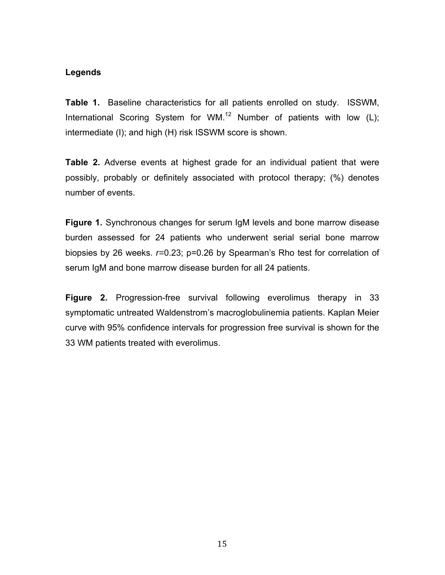## **Legends**

**Table 1.** Baseline characteristics for all patients enrolled on study. ISSWM, International Scoring System for WM.<sup>12</sup> Number of patients with low  $(L)$ ; intermediate (I); and high (H) risk ISSWM score is shown.

**Table 2.** Adverse events at highest grade for an individual patient that were possibly, probably or definitely associated with protocol therapy; (%) denotes number of events.

**Figure 1.** Synchronous changes for serum IgM levels and bone marrow disease burden assessed for 24 patients who underwent serial serial bone marrow biopsies by 26 weeks. *r=*0.23; p=0.26 by Spearman's Rho test for correlation of serum IgM and bone marrow disease burden for all 24 patients.

**Figure 2.** Progression-free survival following everolimus therapy in 33 symptomatic untreated Waldenstrom's macroglobulinemia patients. Kaplan Meier curve with 95% confidence intervals for progression free survival is shown for the 33 WM patients treated with everolimus.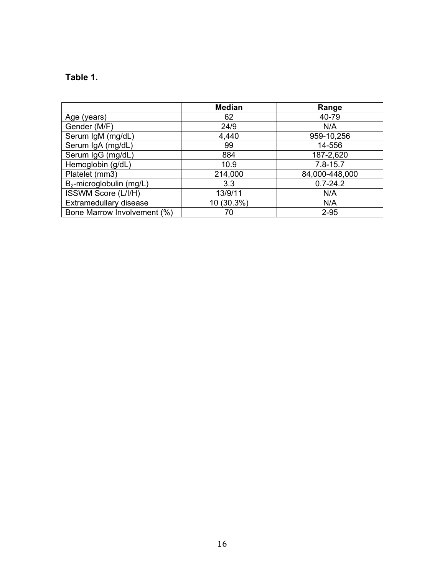# **Table 1.**

|                             | <b>Median</b> | Range          |  |
|-----------------------------|---------------|----------------|--|
| Age (years)                 | 62            | 40-79          |  |
| Gender (M/F)                | 24/9          | N/A            |  |
| Serum IgM (mg/dL)           | 4,440         | 959-10,256     |  |
| Serum IgA (mg/dL)           | 99            | 14-556         |  |
| Serum IgG (mg/dL)           | 884           | 187-2,620      |  |
| Hemoglobin (g/dL)           | 10.9          | $7.8 - 15.7$   |  |
| Platelet (mm3)              | 214,000       | 84,000-448,000 |  |
| $B_2$ -microglobulin (mg/L) | 3.3           | $0.7 - 24.2$   |  |
| ISSWM Score (L/I/H)         | 13/9/11       | N/A            |  |
| Extramedullary disease      | 10 (30.3%)    | N/A            |  |
| Bone Marrow Involvement (%) | 70            | $2 - 95$       |  |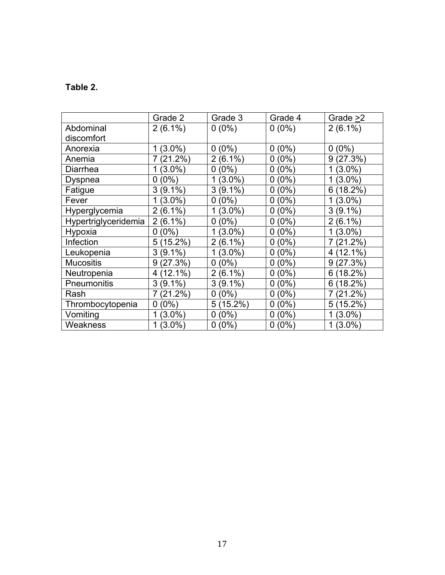# **Table 2.**

|                      | Grade 2         | Grade 3                     | Grade 4               | Grade >2        |
|----------------------|-----------------|-----------------------------|-----------------------|-----------------|
| Abdominal            | $2(6.1\%)$      | $0(0\%)$                    | $0(0\%)$              | $2(6.1\%)$      |
| discomfort           |                 |                             |                       |                 |
| Anorexia             | $(3.0\%)$<br>1  | (0%)<br>0                   | $(0\%)$<br>0          | (0%)<br>0       |
| Anemia               | $(21.2\%)$      | $(6.1\%)$<br>$\overline{2}$ | $(0\%)$<br>0          | (27.3%)<br>9    |
| Diarrhea             | $(3.0\%)$       | (0%)<br>0                   | $^{\prime}0\%$ )<br>0 | $(3.0\%)$<br>1  |
| Dyspnea              | (0%)<br>O       | $(3.0\%)$                   | $(0\%)$<br>0          | $(3.0\%)$<br>1  |
| Fatigue              | 3<br>(9.1%)     | 3<br>$(9.1\%)$              | $0\%$<br>0            | 6<br>(18.2%)    |
| Fever                | $(3.0\%)$       | (0%)<br>0                   | $(0\%)$<br>0          | (3.0%)<br>1     |
| Hyperglycemia        | $(6.1\%)$<br>2  | $(3.0\%)$                   | $(0\%)$<br>0          | 3<br>$(9.1\%)$  |
| Hypertriglyceridemia | $(6.1\%)$<br>2  | (0%)<br>0                   | $(0\%)$<br>0          | $(6.1\%)$<br>2  |
| Hypoxia              | $(0\%)$<br>0    | $(3.0\%)$                   | $^{\prime}0\%$<br>0   | (3.0%)<br>1     |
| Infection            | (15.2%)<br>5    | $(6.1\%)$<br>2              | $(0\%)$<br>0          | 7<br>$(21.2\%)$ |
| Leukopenia           | $(9.1\%)$<br>3  | $(3.0\%)$                   | $(0\%)$<br>0          | 12.1%<br>4      |
| <b>Mucositis</b>     | (27.3%)<br>9    | (0%)<br>0                   | $(0\%)$<br>0          | (27.3%)<br>9    |
| Neutropenia          | $(12.1\%)$<br>4 | 2<br>(6.1%)                 | $0\%$<br>0            | 6<br>18.2%      |
| Pneumonitis          | $(9.1\%)$<br>3  | 3<br>$(9.1\%)$              | $(0\%)$<br>0          | 18.2%<br>6      |
| Rash                 | $(21.2\%)$      | $(0\%)$<br>0                | (0%)<br>0             | 7<br>$(21.2\%)$ |
| Thrombocytopenia     | $(0\%)$<br>0    | $(15.2\%)$<br>5             | $(0\%)$<br>0          | $(15.2\%)$<br>5 |
| Vomiting             | (3.0%)          | (0%)<br>0                   | $(0\%)$<br>0          | $(3.0\%)$<br>1  |
| Weakness             | $(3.0\%)$       | $(0\%)$<br>0                | $(0\%)$<br>0          | 1<br>$(3.0\%)$  |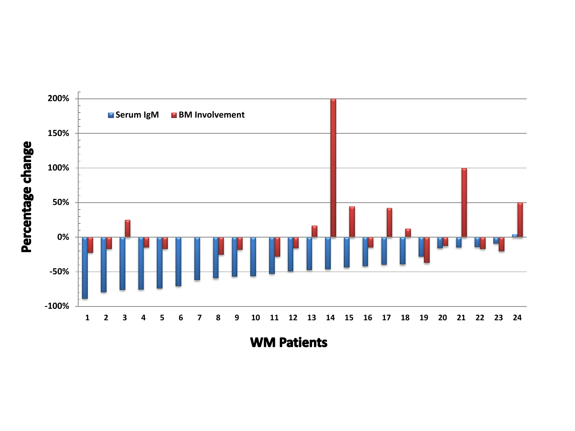

**WM Patients** 

Percentage change